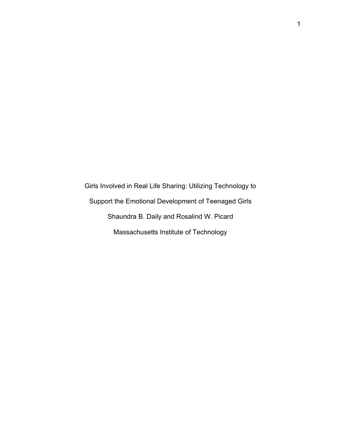Girls Involved in Real Life Sharing: Utilizing Technology to Support the Emotional Development of Teenaged Girls Shaundra B. Daily and Rosalind W. Picard Massachusetts Institute of Technology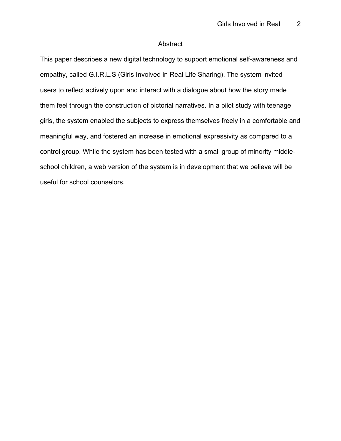# Abstract

This paper describes a new digital technology to support emotional self-awareness and empathy, called G.I.R.L.S (Girls Involved in Real Life Sharing). The system invited users to reflect actively upon and interact with a dialogue about how the story made them feel through the construction of pictorial narratives. In a pilot study with teenage girls, the system enabled the subjects to express themselves freely in a comfortable and meaningful way, and fostered an increase in emotional expressivity as compared to a control group. While the system has been tested with a small group of minority middleschool children, a web version of the system is in development that we believe will be useful for school counselors.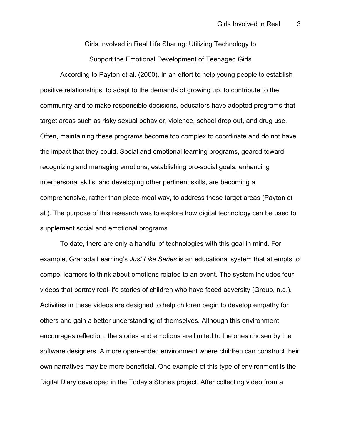Girls Involved in Real Life Sharing: Utilizing Technology to

Support the Emotional Development of Teenaged Girls

According to Payton et al. (2000), In an effort to help young people to establish positive relationships, to adapt to the demands of growing up, to contribute to the community and to make responsible decisions, educators have adopted programs that target areas such as risky sexual behavior, violence, school drop out, and drug use. Often, maintaining these programs become too complex to coordinate and do not have the impact that they could. Social and emotional learning programs, geared toward recognizing and managing emotions, establishing pro-social goals, enhancing interpersonal skills, and developing other pertinent skills, are becoming a comprehensive, rather than piece-meal way, to address these target areas (Payton et al.). The purpose of this research was to explore how digital technology can be used to supplement social and emotional programs.

To date, there are only a handful of technologies with this goal in mind. For example, Granada Learning's *Just Like Series* is an educational system that attempts to compel learners to think about emotions related to an event. The system includes four videos that portray real-life stories of children who have faced adversity (Group, n.d.). Activities in these videos are designed to help children begin to develop empathy for others and gain a better understanding of themselves. Although this environment encourages reflection, the stories and emotions are limited to the ones chosen by the software designers. A more open-ended environment where children can construct their own narratives may be more beneficial. One example of this type of environment is the Digital Diary developed in the Today's Stories project. After collecting video from a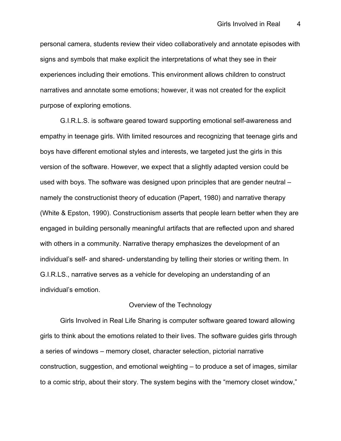personal camera, students review their video collaboratively and annotate episodes with signs and symbols that make explicit the interpretations of what they see in their experiences including their emotions. This environment allows children to construct narratives and annotate some emotions; however, it was not created for the explicit purpose of exploring emotions.

G.I.R.L.S. is software geared toward supporting emotional self-awareness and empathy in teenage girls. With limited resources and recognizing that teenage girls and boys have different emotional styles and interests, we targeted just the girls in this version of the software. However, we expect that a slightly adapted version could be used with boys. The software was designed upon principles that are gender neutral – namely the constructionist theory of education (Papert, 1980) and narrative therapy (White & Epston, 1990). Constructionism asserts that people learn better when they are engaged in building personally meaningful artifacts that are reflected upon and shared with others in a community. Narrative therapy emphasizes the development of an individual's self- and shared- understanding by telling their stories or writing them. In G.I.R.LS., narrative serves as a vehicle for developing an understanding of an individual's emotion.

### Overview of the Technology

Girls Involved in Real Life Sharing is computer software geared toward allowing girls to think about the emotions related to their lives. The software guides girls through a series of windows – memory closet, character selection, pictorial narrative construction, suggestion, and emotional weighting – to produce a set of images, similar to a comic strip, about their story. The system begins with the "memory closet window,"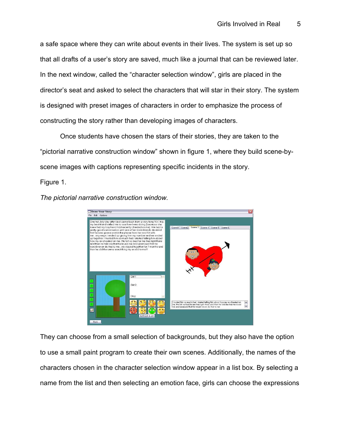a safe space where they can write about events in their lives. The system is set up so that all drafts of a user's story are saved, much like a journal that can be reviewed later. In the next window, called the "character selection window", girls are placed in the director's seat and asked to select the characters that will star in their story. The system is designed with preset images of characters in order to emphasize the process of constructing the story rather than developing images of characters.

Once students have chosen the stars of their stories, they are taken to the "pictorial narrative construction window" shown in figure 1, where they build scene-byscene images with captions representing specific incidents in the story.

Figure 1.

*The pictorial narrative construction window.* 



They can choose from a small selection of backgrounds, but they also have the option to use a small paint program to create their own scenes. Additionally, the names of the characters chosen in the character selection window appear in a list box. By selecting a name from the list and then selecting an emotion face, girls can choose the expressions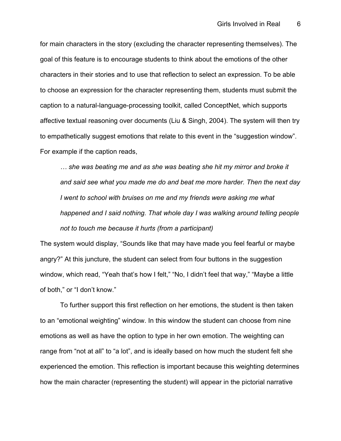for main characters in the story (excluding the character representing themselves). The goal of this feature is to encourage students to think about the emotions of the other characters in their stories and to use that reflection to select an expression. To be able to choose an expression for the character representing them, students must submit the caption to a natural-language-processing toolkit, called ConceptNet, which supports affective textual reasoning over documents (Liu & Singh, 2004). The system will then try to empathetically suggest emotions that relate to this event in the "suggestion window". For example if the caption reads,

*… she was beating me and as she was beating she hit my mirror and broke it and said see what you made me do and beat me more harder. Then the next day I went to school with bruises on me and my friends were asking me what happened and I said nothing. That whole day I was walking around telling people not to touch me because it hurts (from a participant)* 

The system would display, "Sounds like that may have made you feel fearful or maybe angry?" At this juncture, the student can select from four buttons in the suggestion window, which read, "Yeah that's how I felt," "No, I didn't feel that way," "Maybe a little of both," or "I don't know."

To further support this first reflection on her emotions, the student is then taken to an "emotional weighting" window. In this window the student can choose from nine emotions as well as have the option to type in her own emotion. The weighting can range from "not at all" to "a lot", and is ideally based on how much the student felt she experienced the emotion. This reflection is important because this weighting determines how the main character (representing the student) will appear in the pictorial narrative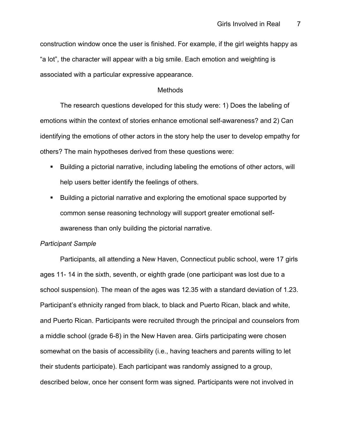construction window once the user is finished. For example, if the girl weights happy as "a lot", the character will appear with a big smile. Each emotion and weighting is associated with a particular expressive appearance.

### Methods

The research questions developed for this study were: 1) Does the labeling of emotions within the context of stories enhance emotional self-awareness? and 2) Can identifying the emotions of other actors in the story help the user to develop empathy for others? The main hypotheses derived from these questions were:

- ! Building a pictorial narrative, including labeling the emotions of other actors, will help users better identify the feelings of others.
- ! Building a pictorial narrative and exploring the emotional space supported by common sense reasoning technology will support greater emotional selfawareness than only building the pictorial narrative.

### *Participant Sample*

Participants, all attending a New Haven, Connecticut public school, were 17 girls ages 11- 14 in the sixth, seventh, or eighth grade (one participant was lost due to a school suspension). The mean of the ages was 12.35 with a standard deviation of 1.23. Participant's ethnicity ranged from black, to black and Puerto Rican, black and white, and Puerto Rican. Participants were recruited through the principal and counselors from a middle school (grade 6-8) in the New Haven area. Girls participating were chosen somewhat on the basis of accessibility (i.e., having teachers and parents willing to let their students participate). Each participant was randomly assigned to a group, described below, once her consent form was signed. Participants were not involved in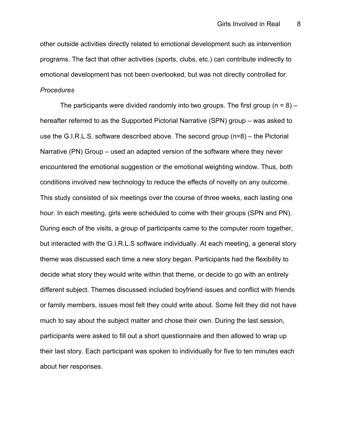other outside activities directly related to emotional development such as intervention programs. The fact that other activities (sports, clubs, etc.) can contribute indirectly to emotional development has not been overlooked, but was not directly controlled for. *Procedures*

The participants were divided randomly into two groups. The first group ( $n = 8$ ) – hereafter referred to as the Supported Pictorial Narrative (SPN) group – was asked to use the G.I.R.L.S. software described above. The second group (n=8) – the Pictorial Narrative (PN) Group – used an adapted version of the software where they never encountered the emotional suggestion or the emotional weighting window. Thus, both conditions involved new technology to reduce the effects of novelty on any outcome. This study consisted of six meetings over the course of three weeks, each lasting one hour. In each meeting, girls were scheduled to come with their groups (SPN and PN). During each of the visits, a group of participants came to the computer room together, but interacted with the G.I.R.L.S software individually. At each meeting, a general story theme was discussed each time a new story began. Participants had the flexibility to decide what story they would write within that theme, or decide to go with an entirely different subject. Themes discussed included boyfriend issues and conflict with friends or family members, issues most felt they could write about. Some felt they did not have much to say about the subject matter and chose their own. During the last session, participants were asked to fill out a short questionnaire and then allowed to wrap up their last story. Each participant was spoken to individually for five to ten minutes each about her responses.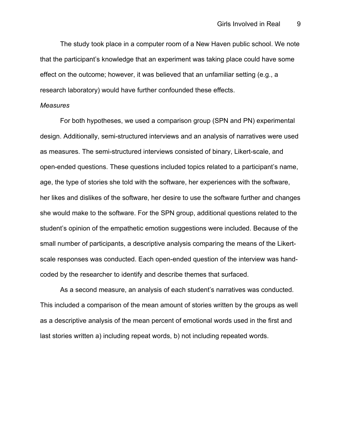The study took place in a computer room of a New Haven public school. We note that the participant's knowledge that an experiment was taking place could have some effect on the outcome; however, it was believed that an unfamiliar setting (e.g., a research laboratory) would have further confounded these effects.

#### *Measures*

For both hypotheses, we used a comparison group (SPN and PN) experimental design. Additionally, semi-structured interviews and an analysis of narratives were used as measures. The semi-structured interviews consisted of binary, Likert-scale, and open-ended questions. These questions included topics related to a participant's name, age, the type of stories she told with the software, her experiences with the software, her likes and dislikes of the software, her desire to use the software further and changes she would make to the software. For the SPN group, additional questions related to the student's opinion of the empathetic emotion suggestions were included. Because of the small number of participants, a descriptive analysis comparing the means of the Likertscale responses was conducted. Each open-ended question of the interview was handcoded by the researcher to identify and describe themes that surfaced.

As a second measure, an analysis of each student's narratives was conducted. This included a comparison of the mean amount of stories written by the groups as well as a descriptive analysis of the mean percent of emotional words used in the first and last stories written a) including repeat words, b) not including repeated words.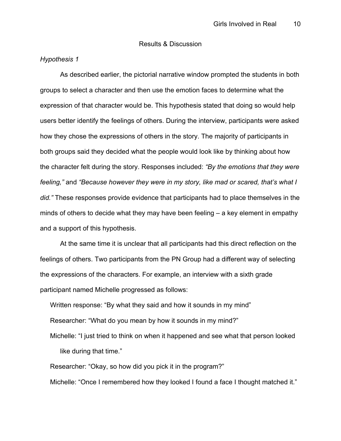## Results & Discussion

## *Hypothesis 1*

As described earlier, the pictorial narrative window prompted the students in both groups to select a character and then use the emotion faces to determine what the expression of that character would be. This hypothesis stated that doing so would help users better identify the feelings of others. During the interview, participants were asked how they chose the expressions of others in the story. The majority of participants in both groups said they decided what the people would look like by thinking about how the character felt during the story. Responses included: *"By the emotions that they were feeling,"* and *"Because however they were in my story, like mad or scared, that's what I did."* These responses provide evidence that participants had to place themselves in the minds of others to decide what they may have been feeling – a key element in empathy and a support of this hypothesis.

At the same time it is unclear that all participants had this direct reflection on the feelings of others. Two participants from the PN Group had a different way of selecting the expressions of the characters. For example, an interview with a sixth grade participant named Michelle progressed as follows:

Written response: "By what they said and how it sounds in my mind"

Researcher: "What do you mean by how it sounds in my mind?"

Michelle: "I just tried to think on when it happened and see what that person looked like during that time."

Researcher: "Okay, so how did you pick it in the program?"

Michelle: "Once I remembered how they looked I found a face I thought matched it."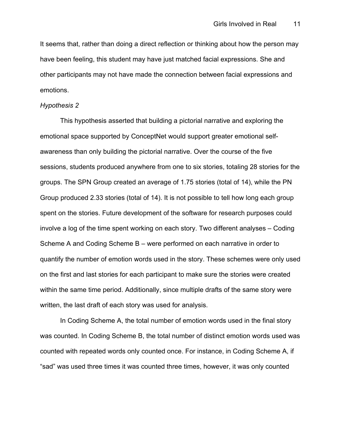It seems that, rather than doing a direct reflection or thinking about how the person may have been feeling, this student may have just matched facial expressions. She and other participants may not have made the connection between facial expressions and emotions.

### *Hypothesis 2*

This hypothesis asserted that building a pictorial narrative and exploring the emotional space supported by ConceptNet would support greater emotional selfawareness than only building the pictorial narrative. Over the course of the five sessions, students produced anywhere from one to six stories, totaling 28 stories for the groups. The SPN Group created an average of 1.75 stories (total of 14), while the PN Group produced 2.33 stories (total of 14). It is not possible to tell how long each group spent on the stories. Future development of the software for research purposes could involve a log of the time spent working on each story. Two different analyses – Coding Scheme A and Coding Scheme B – were performed on each narrative in order to quantify the number of emotion words used in the story. These schemes were only used on the first and last stories for each participant to make sure the stories were created within the same time period. Additionally, since multiple drafts of the same story were written, the last draft of each story was used for analysis.

In Coding Scheme A, the total number of emotion words used in the final story was counted. In Coding Scheme B, the total number of distinct emotion words used was counted with repeated words only counted once. For instance, in Coding Scheme A, if "sad" was used three times it was counted three times, however, it was only counted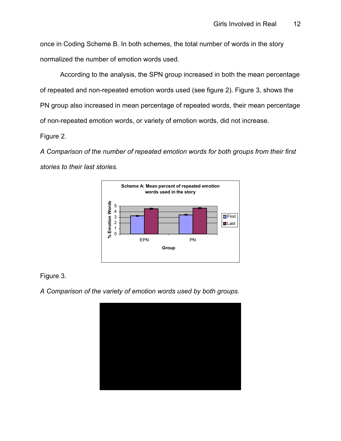once in Coding Scheme B. In both schemes, the total number of words in the story normalized the number of emotion words used.

According to the analysis, the SPN group increased in both the mean percentage of repeated and non-repeated emotion words used (see figure 2). Figure 3, shows the PN group also increased in mean percentage of repeated words, their mean percentage of non-repeated emotion words, or variety of emotion words, did not increase.

Figure 2.

*A Comparison of the number of repeated emotion words for both groups from their first stories to their last stories.*



Figure 3.

*A Comparison of the variety of emotion words used by both groups.*

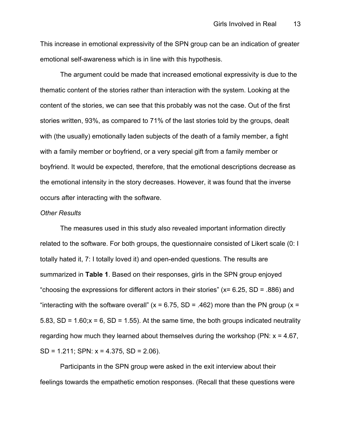This increase in emotional expressivity of the SPN group can be an indication of greater emotional self-awareness which is in line with this hypothesis.

The argument could be made that increased emotional expressivity is due to the thematic content of the stories rather than interaction with the system. Looking at the content of the stories, we can see that this probably was not the case. Out of the first stories written, 93%, as compared to 71% of the last stories told by the groups, dealt with (the usually) emotionally laden subjects of the death of a family member, a fight with a family member or boyfriend, or a very special gift from a family member or boyfriend. It would be expected, therefore, that the emotional descriptions decrease as the emotional intensity in the story decreases. However, it was found that the inverse occurs after interacting with the software.

#### *Other Results*

The measures used in this study also revealed important information directly related to the software. For both groups, the questionnaire consisted of Likert scale (0: I totally hated it, 7: I totally loved it) and open-ended questions. The results are summarized in **Table 1**. Based on their responses, girls in the SPN group enjoyed "choosing the expressions for different actors in their stories" (x= 6.25, SD = .886) and "interacting with the software overall"  $(x = 6.75, SD = .462)$  more than the PN group  $(x =$ 5.83,  $SD = 1.60$ ; $x = 6$ ,  $SD = 1.55$ ). At the same time, the both groups indicated neutrality regarding how much they learned about themselves during the workshop (PN:  $x = 4.67$ , SD = 1.211; SPN: x = 4.375, SD = 2.06).

Participants in the SPN group were asked in the exit interview about their feelings towards the empathetic emotion responses. (Recall that these questions were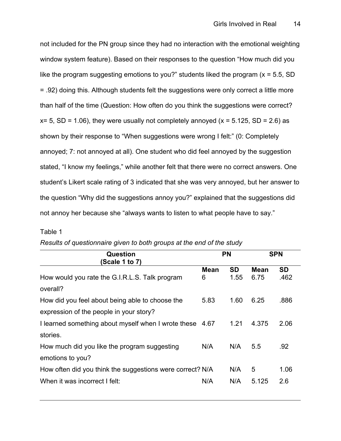not included for the PN group since they had no interaction with the emotional weighting window system feature). Based on their responses to the question "How much did you like the program suggesting emotions to you?" students liked the program  $(x = 5.5, SD)$ = .92) doing this. Although students felt the suggestions were only correct a little more than half of the time (Question: How often do you think the suggestions were correct?  $x= 5$ , SD = 1.06), they were usually not completely annoyed ( $x = 5.125$ , SD = 2.6) as shown by their response to "When suggestions were wrong I felt:" (0: Completely annoyed; 7: not annoyed at all). One student who did feel annoyed by the suggestion stated, "I know my feelings," while another felt that there were no correct answers. One student's Likert scale rating of 3 indicated that she was very annoyed, but her answer to the question "Why did the suggestions annoy you?" explained that the suggestions did not annoy her because she "always wants to listen to what people have to say."

# Table 1

| <b>Question</b><br>(Scale 1 to 7)                                                          | <b>PN</b>        |                   | <b>SPN</b>          |                   |
|--------------------------------------------------------------------------------------------|------------------|-------------------|---------------------|-------------------|
| How would you rate the G.I.R.L.S. Talk program<br>overall?                                 | <b>Mean</b><br>6 | <b>SD</b><br>1.55 | <b>Mean</b><br>6.75 | <b>SD</b><br>.462 |
| How did you feel about being able to choose the<br>expression of the people in your story? | 5.83             | 1.60              | 6.25                | .886              |
| I learned something about myself when I wrote these 4.67<br>stories.                       |                  | 1.21              | 4.375               | 2.06              |
| How much did you like the program suggesting<br>emotions to you?                           | N/A              | N/A               | 5.5                 | .92               |
| How often did you think the suggestions were correct? N/A<br>When it was incorrect I felt: | N/A              | N/A<br>N/A        | 5<br>5.125          | 1.06<br>2.6       |

*Results of questionnaire given to both groups at the end of the study*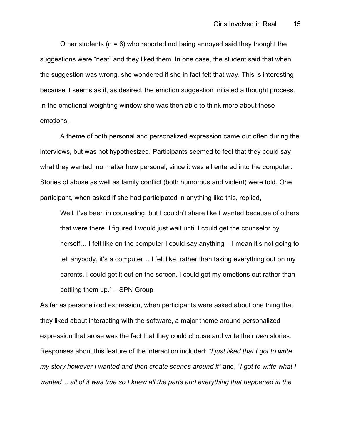Other students ( $n = 6$ ) who reported not being annoyed said they thought the suggestions were "neat" and they liked them. In one case, the student said that when the suggestion was wrong, she wondered if she in fact felt that way. This is interesting because it seems as if, as desired, the emotion suggestion initiated a thought process. In the emotional weighting window she was then able to think more about these emotions.

A theme of both personal and personalized expression came out often during the interviews, but was not hypothesized. Participants seemed to feel that they could say what they wanted, no matter how personal, since it was all entered into the computer. Stories of abuse as well as family conflict (both humorous and violent) were told. One participant, when asked if she had participated in anything like this, replied,

Well, I've been in counseling, but I couldn't share like I wanted because of others that were there. I figured I would just wait until I could get the counselor by herself… I felt like on the computer I could say anything – I mean it's not going to tell anybody, it's a computer… I felt like, rather than taking everything out on my parents, I could get it out on the screen. I could get my emotions out rather than bottling them up." – SPN Group

As far as personalized expression, when participants were asked about one thing that they liked about interacting with the software, a major theme around personalized expression that arose was the fact that they could choose and write their *own* stories. Responses about this feature of the interaction included: *"I just liked that I got to write my story however I wanted and then create scenes around it"* and, *"I got to write what I wanted… all of it was true so I knew all the parts and everything that happened in the*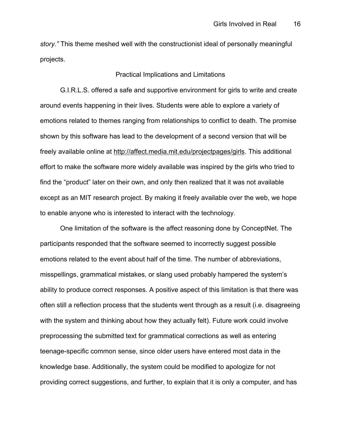*story."* This theme meshed well with the constructionist ideal of personally meaningful projects.

# Practical Implications and Limitations

G.I.R.L.S. offered a safe and supportive environment for girls to write and create around events happening in their lives. Students were able to explore a variety of emotions related to themes ranging from relationships to conflict to death. The promise shown by this software has lead to the development of a second version that will be freely available online at http://affect.media.mit.edu/projectpages/girls. This additional effort to make the software more widely available was inspired by the girls who tried to find the "product" later on their own, and only then realized that it was not available except as an MIT research project. By making it freely available over the web, we hope to enable anyone who is interested to interact with the technology.

One limitation of the software is the affect reasoning done by ConceptNet. The participants responded that the software seemed to incorrectly suggest possible emotions related to the event about half of the time. The number of abbreviations, misspellings, grammatical mistakes, or slang used probably hampered the system's ability to produce correct responses. A positive aspect of this limitation is that there was often still a reflection process that the students went through as a result (i.e. disagreeing with the system and thinking about how they actually felt). Future work could involve preprocessing the submitted text for grammatical corrections as well as entering teenage-specific common sense, since older users have entered most data in the knowledge base. Additionally, the system could be modified to apologize for not providing correct suggestions, and further, to explain that it is only a computer, and has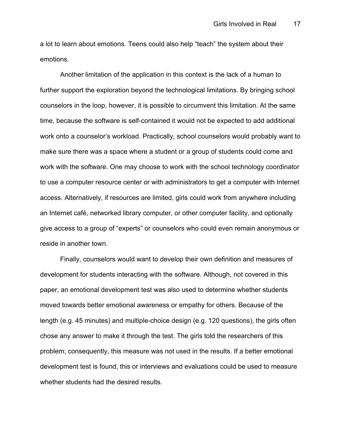a lot to learn about emotions. Teens could also help "teach" the system about their emotions.

Another limitation of the application in this context is the lack of a human to further support the exploration beyond the technological limitations. By bringing school counselors in the loop, however, it is possible to circumvent this limitation. At the same time, because the software is self-contained it would not be expected to add additional work onto a counselor's workload. Practically, school counselors would probably want to make sure there was a space where a student or a group of students could come and work with the software. One may choose to work with the school technology coordinator to use a computer resource center or with administrators to get a computer with Internet access. Alternatively, if resources are limited, girls could work from anywhere including an Internet café, networked library computer, or other computer facility, and optionally give access to a group of "experts" or counselors who could even remain anonymous or reside in another town.

Finally, counselors would want to develop their own definition and measures of development for students interacting with the software. Although, not covered in this paper, an emotional development test was also used to determine whether students moved towards better emotional awareness or empathy for others. Because of the length (e.g. 45 minutes) and multiple-choice design (e.g. 120 questions), the girls often chose any answer to make it through the test. The girls told the researchers of this problem; consequently, this measure was not used in the results. If a better emotional development test is found, this or interviews and evaluations could be used to measure whether students had the desired results.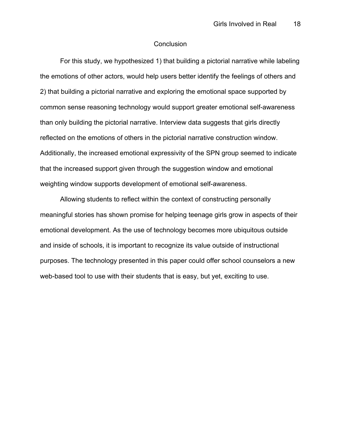#### **Conclusion**

For this study, we hypothesized 1) that building a pictorial narrative while labeling the emotions of other actors, would help users better identify the feelings of others and 2) that building a pictorial narrative and exploring the emotional space supported by common sense reasoning technology would support greater emotional self-awareness than only building the pictorial narrative. Interview data suggests that girls directly reflected on the emotions of others in the pictorial narrative construction window. Additionally, the increased emotional expressivity of the SPN group seemed to indicate that the increased support given through the suggestion window and emotional weighting window supports development of emotional self-awareness.

Allowing students to reflect within the context of constructing personally meaningful stories has shown promise for helping teenage girls grow in aspects of their emotional development. As the use of technology becomes more ubiquitous outside and inside of schools, it is important to recognize its value outside of instructional purposes. The technology presented in this paper could offer school counselors a new web-based tool to use with their students that is easy, but yet, exciting to use.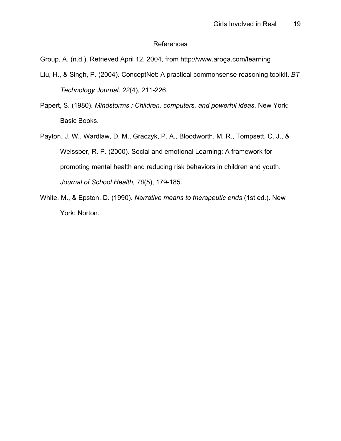### References

Group, A. (n.d.). Retrieved April 12, 2004, from http://www.aroga.com/learning

- Liu, H., & Singh, P. (2004). ConceptNet: A practical commonsense reasoning toolkit. *BT Technology Journal, 22*(4), 211-226.
- Papert, S. (1980). *Mindstorms : Children, computers, and powerful ideas*. New York: Basic Books.
- Payton, J. W., Wardlaw, D. M., Graczyk, P. A., Bloodworth, M. R., Tompsett, C. J., & Weissber, R. P. (2000). Social and emotional Learning: A framework for promoting mental health and reducing risk behaviors in children and youth. *Journal of School Health, 70*(5), 179-185.
- White, M., & Epston, D. (1990). *Narrative means to therapeutic ends* (1st ed.). New York: Norton.